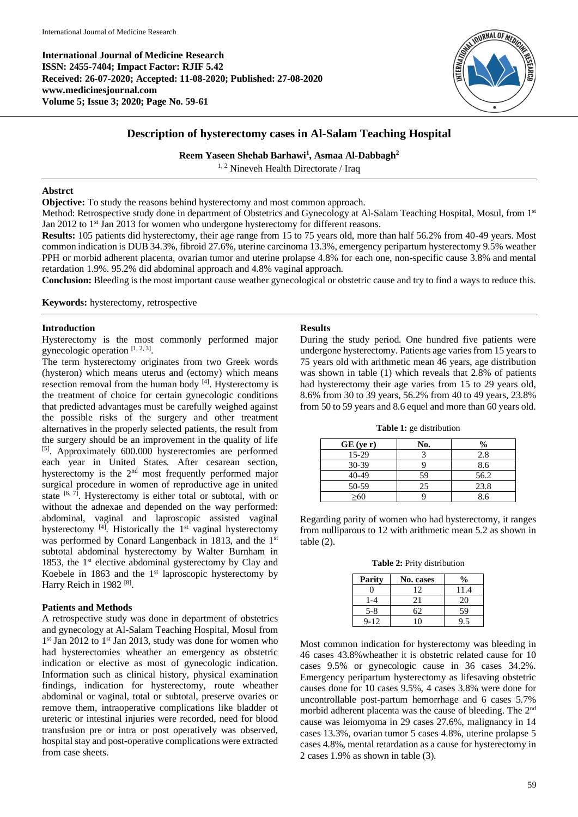**International Journal of Medicine Research ISSN: 2455-7404; Impact Factor: RJIF 5.42 Received: 26-07-2020; Accepted: 11-08-2020; Published: 27-08-2020 www.medicinesjournal.com Volume 5; Issue 3; 2020; Page No. 59-61**



# **Description of hysterectomy cases in Al-Salam Teaching Hospital**

**Reem Yaseen Shehab Barhawi<sup>1</sup> , Asmaa Al-Dabbagh<sup>2</sup>**

 $1, 2$  Nineveh Health Directorate / Iraq

## **Abstrct**

**Objective:** To study the reasons behind hysterectomy and most common approach.

Method: Retrospective study done in department of Obstetrics and Gynecology at Al-Salam Teaching Hospital, Mosul, from 1<sup>st</sup> Jan 2012 to 1<sup>st</sup> Jan 2013 for women who undergone hysterectomy for different reasons.

**Results:** 105 patients did hysterectomy, their age range from 15 to 75 years old, more than half 56.2% from 40-49 years. Most common indication is DUB 34.3%, fibroid 27.6%, uterine carcinoma 13.3%, emergency peripartum hysterectomy 9.5% weather PPH or morbid adherent placenta, ovarian tumor and uterine prolapse 4.8% for each one, non-specific cause 3.8% and mental retardation 1.9%. 95.2% did abdominal approach and 4.8% vaginal approach.

**Conclusion:** Bleeding is the most important cause weather gynecological or obstetric cause and try to find a ways to reduce this.

**Keywords:** hysterectomy, retrospective

## **Introduction**

Hysterectomy is the most commonly performed major gynecologic operation  $[1, 2, 3]$ .

The term hysterectomy originates from two Greek words (hysteron) which means uterus and (ectomy) which means resection removal from the human body <sup>[4]</sup>. Hysterectomy is the treatment of choice for certain gynecologic conditions that predicted advantages must be carefully weighed against the possible risks of the surgery and other treatment alternatives in the properly selected patients, the result from the surgery should be an improvement in the quality of life [5]. Approximately 600.000 hysterectomies are performed each year in United States. After cesarean section, hysterectomy is the 2<sup>nd</sup> most frequently performed major surgical procedure in women of reproductive age in united state  $[6, 7]$ . Hysterectomy is either total or subtotal, with or without the adnexae and depended on the way performed: abdominal, vaginal and laproscopic assisted vaginal hysterectomy <sup>[4]</sup>. Historically the 1<sup>st</sup> vaginal hysterectomy was performed by Conard Langenback in 1813, and the 1<sup>st</sup> subtotal abdominal hysterectomy by Walter Burnham in 1853, the  $1<sup>st</sup>$  elective abdominal gysterectomy by Clay and Koebele in  $1863$  and the  $1<sup>st</sup>$  laproscopic hysterectomy by Harry Reich in 1982<sup>[8]</sup>.

# **Patients and Methods**

A retrospective study was done in department of obstetrics and gynecology at Al-Salam Teaching Hospital, Mosul from 1<sup>st</sup> Jan 2012 to 1<sup>st</sup> Jan 2013, study was done for women who had hysterectomies wheather an emergency as obstetric indication or elective as most of gynecologic indication. Information such as clinical history, physical examination findings, indication for hysterectomy, route wheather abdominal or vaginal, total or subtotal, preserve ovaries or remove them, intraoperative complications like bladder ot ureteric or intestinal injuries were recorded, need for blood transfusion pre or intra or post operatively was observed, hospital stay and post-operative complications were extracted from case sheets.

#### **Results**

During the study period. One hundred five patients were undergone hysterectomy. Patients age varies from 15 years to 75 years old with arithmetic mean 46 years, age distribution was shown in table (1) which reveals that 2.8% of patients had hysterectomy their age varies from 15 to 29 years old, 8.6% from 30 to 39 years, 56.2% from 40 to 49 years, 23.8% from 50 to 59 years and 8.6 equel and more than 60 years old.

**Table 1:** ge distribution

| $GE$ (ye r) | No. | $\frac{6}{9}$ |
|-------------|-----|---------------|
| 15-29       |     | 2.8           |
| 30-39       |     | 8.6           |
| 40-49       | 59  | 56.2          |
| 50-59       | 25  | 23.8          |
|             |     | 8.6           |

Regarding parity of women who had hysterectomy, it ranges from nulliparous to 12 with arithmetic mean 5.2 as shown in table (2).

**Table 2:** Prity distribution

| Parity   | No. cases | $\frac{1}{2}$ |
|----------|-----------|---------------|
|          |           | 11.4          |
| $-4$     | 7 I       |               |
| $5 - 8$  |           |               |
| $9 - 12$ |           |               |

Most common indication for hysterectomy was bleeding in 46 cases 43.8%wheather it is obstetric related cause for 10 cases 9.5% or gynecologic cause in 36 cases 34.2%. Emergency peripartum hysterectomy as lifesaving obstetric causes done for 10 cases 9.5%, 4 cases 3.8% were done for uncontrollable post-partum hemorrhage and 6 cases 5.7% morbid adherent placenta was the cause of bleeding. The 2<sup>nd</sup> cause was leiomyoma in 29 cases 27.6%, malignancy in 14 cases 13.3%, ovarian tumor 5 cases 4.8%, uterine prolapse 5 cases 4.8%, mental retardation as a cause for hysterectomy in 2 cases 1.9% as shown in table (3).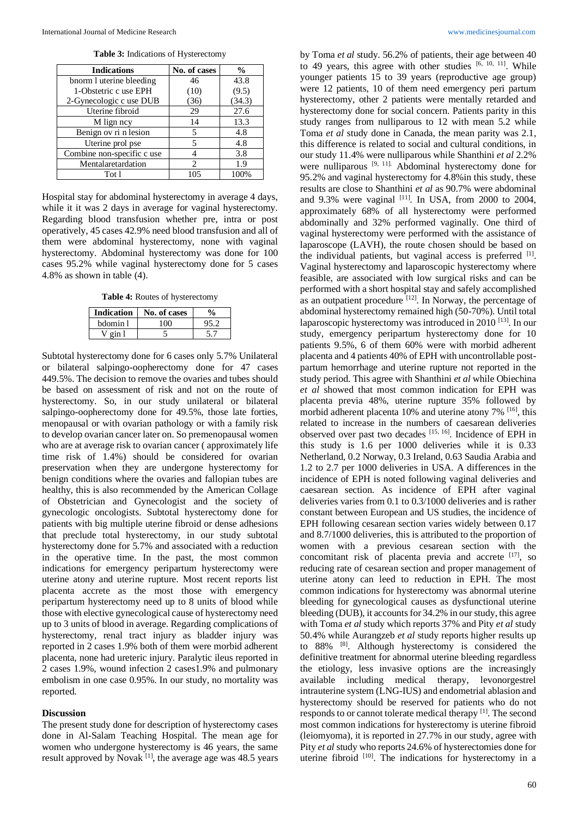**Table 3:** Indications of Hysterectomy

| <b>Indications</b>         | No. of cases | $\frac{6}{9}$ |
|----------------------------|--------------|---------------|
| bnorm 1 uterine bleeding   | 46           | 43.8          |
| 1-Obstetric c use EPH      | (10)         | (9.5)         |
| 2-Gynecologic c use DUB    | (36)         | (34.3)        |
| Uterine fibroid            | 29           | 27.6          |
| M lign ncy                 | 14           | 13.3          |
| Benign ov ri n lesion      | 5            | 4.8           |
| Uterine prol pse           | 5            | 4.8           |
| Combine non-specific c use |              | 3.8           |
| Mentalaretardation         | 2            | 1.9           |
| Tot 1                      | 105          |               |

Hospital stay for abdominal hysterectomy in average 4 days, while it it was 2 days in average for vaginal hysterectomy. Regarding blood transfusion whether pre, intra or post operatively, 45 cases 42.9% need blood transfusion and all of them were abdominal hysterectomy, none with vaginal hysterectomy. Abdominal hysterectomy was done for 100 cases 95.2% while vaginal hysterectomy done for 5 cases 4.8% as shown in table (4).

**Table 4:** Routes of hysterectomy

| <b>Indication</b> | No. of cases | $\frac{0}{0}$ |
|-------------------|--------------|---------------|
| hdomin l          | ∩∩           |               |
|                   |              |               |

Subtotal hysterectomy done for 6 cases only 5.7% Unilateral or bilateral salpingo-oopherectomy done for 47 cases 449.5%. The decision to remove the ovaries and tubes should be based on assessment of risk and not on the route of hysterectomy. So, in our study unilateral or bilateral salpingo-oopherectomy done for 49.5%, those late forties, menopausal or with ovarian pathology or with a family risk to develop ovarian cancer later on. So premenopausal women who are at average risk to ovarian cancer ( approximately life time risk of 1.4%) should be considered for ovarian preservation when they are undergone hysterectomy for benign conditions where the ovaries and fallopian tubes are healthy, this is also recommended by the American Collage of Obstetrician and Gynecologist and the society of gynecologic oncologists. Subtotal hysterectomy done for patients with big multiple uterine fibroid or dense adhesions that preclude total hysterectomy, in our study subtotal hysterectomy done for 5.7% and associated with a reduction in the operative time. In the past, the most common indications for emergency peripartum hysterectomy were uterine atony and uterine rupture. Most recent reports list placenta accrete as the most those with emergency peripartum hysterectomy need up to 8 units of blood while those with elective gynecological cause of hysterectomy need up to 3 units of blood in average. Regarding complications of hysterectomy, renal tract injury as bladder injury was reported in 2 cases 1.9% both of them were morbid adherent placenta, none had ureteric injury. Paralytic ileus reported in 2 cases 1.9%, wound infection 2 cases1.9% and pulmonary embolism in one case 0.95%. In our study, no mortality was reported.

#### **Discussion**

The present study done for description of hysterectomy cases done in Al-Salam Teaching Hospital. The mean age for women who undergone hysterectomy is 46 years, the same result approved by Novak  $^{[1]}$ , the average age was 48.5 years

by Toma *et al* study. 56.2% of patients, their age between 40 to 49 years, this agree with other studies  $[6, 10, 11]$ . While younger patients 15 to 39 years (reproductive age group) were 12 patients, 10 of them need emergency peri partum hysterectomy, other 2 patients were mentally retarded and hysterectomy done for social concern. Patients parity in this study ranges from nulliparous to 12 with mean 5.2 while Toma *et al* study done in Canada, the mean parity was 2.1, this difference is related to social and cultural conditions, in our study 11.4% were nulliparous while Shanthini *et al* 2.2% were nulliparous [9, 11]. Abdominal hysterectomy done for 95.2% and vaginal hysterectomy for 4.8%in this study, these results are close to Shanthini *et al* as 90.7% were abdominal and 9.3% were vaginal  $[11]$ . In USA, from 2000 to 2004, approximately 68% of all hysterectomy were performed abdominally and 32% performed vaginally. One third of vaginal hysterectomy were performed with the assistance of laparoscope (LAVH), the route chosen should be based on the individual patients, but vaginal access is preferred [1]. Vaginal hysterectomy and laparoscopic hysterectomy where feasible, are associated with low surgical risks and can be performed with a short hospital stay and safely accomplished as an outpatient procedure  $[12]$ . In Norway, the percentage of abdominal hysterectomy remained high (50-70%). Until total laparoscopic hysterectomy was introduced in 2010<sup>[13]</sup>. In our study, emergency peripartum hysterectomy done for 10 patients 9.5%, 6 of them 60% were with morbid adherent placenta and 4 patients 40% of EPH with uncontrollable postpartum hemorrhage and uterine rupture not reported in the study period. This agree with Shanthini *et al* while Obiechina *et al* showed that most common indication for EPH was placenta previa 48%, uterine rupture 35% followed by morbid adherent placenta 10% and uterine atony 7% [16], this related to increase in the numbers of caesarean deliveries observed over past two decades [15, 16]. Incidence of EPH in this study is 1.6 per 1000 deliveries while it is 0.33 Netherland, 0.2 Norway, 0.3 Ireland, 0.63 Saudia Arabia and 1.2 to 2.7 per 1000 deliveries in USA. A differences in the incidence of EPH is noted following vaginal deliveries and caesarean section. As incidence of EPH after vaginal deliveries varies from 0.1 to 0.3/1000 deliveries and is rather constant between European and US studies, the incidence of EPH following cesarean section varies widely between 0.17 and 8.7/1000 deliveries, this is attributed to the proportion of women with a previous cesarean section with the concomitant risk of placenta previa and accrete [17], so reducing rate of cesarean section and proper management of uterine atony can leed to reduction in EPH. The most common indications for hysterectomy was abnormal uterine bleeding for gynecological causes as dysfunctional uterine bleeding (DUB), it accounts for 34.2% in our study, this agree with Toma *et al* study which reports 37% and Pity *et al* study 50.4% while Aurangzeb *et al* study reports higher results up to 88% [8]. Although hysterectomy is considered the definitive treatment for abnormal uterine bleeding regardless the etiology, less invasive options are the increasingly available including medical therapy, levonorgestrel intrauterine system (LNG-IUS) and endometrial ablasion and hysterectomy should be reserved for patients who do not responds to or cannot tolerate medical therapy <sup>[1]</sup>. The second most common indications for hysterectomy is uterine fibroid (leiomyoma), it is reported in 27.7% in our study, agree with Pity *et al* study who reports 24.6% of hysterectomies done for uterine fibroid [10]. The indications for hysterectomy in a